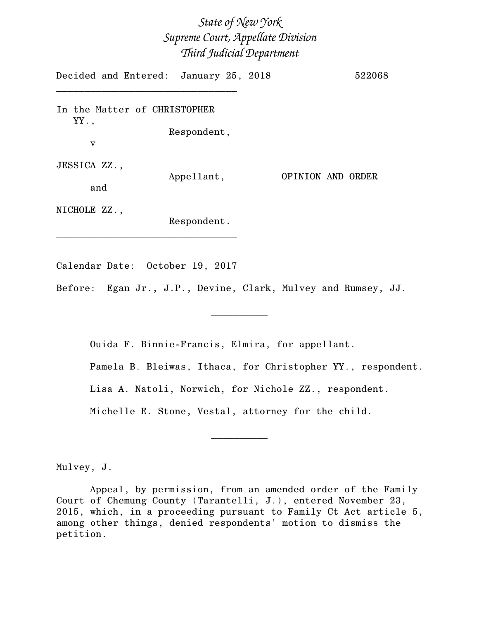# *State of New York Supreme Court, Appellate Division Third Judicial Department*

Decided and Entered: January 25, 2018 522068 \_\_\_\_\_\_\_\_\_\_\_\_\_\_\_\_\_\_\_\_\_\_\_\_\_\_\_\_\_\_\_\_ In the Matter of CHRISTOPHER YY., Respondent, v JESSICA ZZ., Appellant, OPINION AND ORDER and NICHOLE ZZ., Respondent. \_\_\_\_\_\_\_\_\_\_\_\_\_\_\_\_\_\_\_\_\_\_\_\_\_\_\_\_\_\_\_\_

Calendar Date: October 19, 2017

Before: Egan Jr., J.P., Devine, Clark, Mulvey and Rumsey, JJ.

 $\overline{\phantom{a}}$   $\overline{\phantom{a}}$   $\overline{\phantom{a}}$   $\overline{\phantom{a}}$   $\overline{\phantom{a}}$   $\overline{\phantom{a}}$   $\overline{\phantom{a}}$   $\overline{\phantom{a}}$   $\overline{\phantom{a}}$   $\overline{\phantom{a}}$   $\overline{\phantom{a}}$   $\overline{\phantom{a}}$   $\overline{\phantom{a}}$   $\overline{\phantom{a}}$   $\overline{\phantom{a}}$   $\overline{\phantom{a}}$   $\overline{\phantom{a}}$   $\overline{\phantom{a}}$   $\overline{\$ 

Ouida F. Binnie-Francis, Elmira, for appellant.

Pamela B. Bleiwas, Ithaca, for Christopher YY., respondent.

Lisa A. Natoli, Norwich, for Nichole ZZ., respondent.

 $\overline{\phantom{a}}$   $\overline{\phantom{a}}$   $\overline{\phantom{a}}$   $\overline{\phantom{a}}$   $\overline{\phantom{a}}$   $\overline{\phantom{a}}$   $\overline{\phantom{a}}$   $\overline{\phantom{a}}$   $\overline{\phantom{a}}$   $\overline{\phantom{a}}$   $\overline{\phantom{a}}$   $\overline{\phantom{a}}$   $\overline{\phantom{a}}$   $\overline{\phantom{a}}$   $\overline{\phantom{a}}$   $\overline{\phantom{a}}$   $\overline{\phantom{a}}$   $\overline{\phantom{a}}$   $\overline{\$ 

Michelle E. Stone, Vestal, attorney for the child.

Mulvey, J.

Appeal, by permission, from an amended order of the Family Court of Chemung County (Tarantelli, J.), entered November 23, 2015, which, in a proceeding pursuant to Family Ct Act article 5, among other things, denied respondents' motion to dismiss the petition.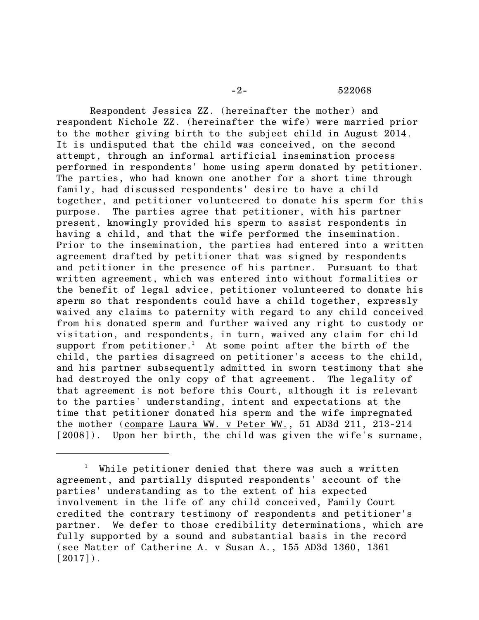### -2- 522068

Respondent Jessica ZZ. (hereinafter the mother) and respondent Nichole ZZ. (hereinafter the wife) were married prior to the mother giving birth to the subject child in August 2014. It is undisputed that the child was conceived, on the second attempt, through an informal artificial insemination process performed in respondents' home using sperm donated by petitioner. The parties, who had known one another for a short time through family, had discussed respondents' desire to have a child together, and petitioner volunteered to donate his sperm for this purpose. The parties agree that petitioner, with his partner present, knowingly provided his sperm to assist respondents in having a child, and that the wife performed the insemination. Prior to the insemination, the parties had entered into a written agreement drafted by petitioner that was signed by respondents and petitioner in the presence of his partner. Pursuant to that written agreement, which was entered into without formalities or the benefit of legal advice, petitioner volunteered to donate his sperm so that respondents could have a child together, expressly waived any claims to paternity with regard to any child conceived from his donated sperm and further waived any right to custody or visitation, and respondents, in turn, waived any claim for child support from petitioner.<sup>1</sup> At some point after the birth of the child, the parties disagreed on petitioner's access to the child, and his partner subsequently admitted in sworn testimony that she had destroyed the only copy of that agreement. The legality of that agreement is not before this Court, although it is relevant to the parties' understanding, intent and expectations at the time that petitioner donated his sperm and the wife impregnated the mother (compare Laura WW. v Peter WW., 51 AD3d 211, 213-214 [2008]). Upon her birth, the child was given the wife's surname,

 $1$  While petitioner denied that there was such a written agreement, and partially disputed respondents' account of the parties' understanding as to the extent of his expected involvement in the life of any child conceived, Family Court credited the contrary testimony of respondents and petitioner's partner. We defer to those credibility determinations, which are fully supported by a sound and substantial basis in the record (see Matter of Catherine A. v Susan A., 155 AD3d 1360, 1361  $[2017]$ .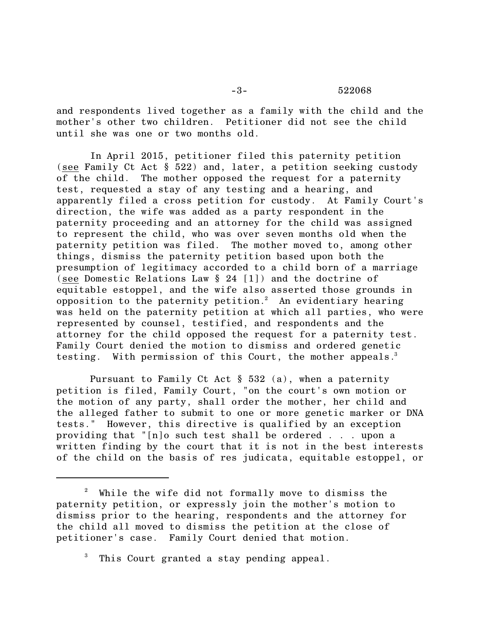#### -3- 522068

and respondents lived together as a family with the child and the mother's other two children. Petitioner did not see the child until she was one or two months old.

In April 2015, petitioner filed this paternity petition (see Family Ct Act § 522) and, later, a petition seeking custody of the child. The mother opposed the request for a paternity test, requested a stay of any testing and a hearing, and apparently filed a cross petition for custody. At Family Court's direction, the wife was added as a party respondent in the paternity proceeding and an attorney for the child was assigned to represent the child, who was over seven months old when the paternity petition was filed. The mother moved to, among other things, dismiss the paternity petition based upon both the presumption of legitimacy accorded to a child born of a marriage (see Domestic Relations Law § 24 [1]) and the doctrine of equitable estoppel, and the wife also asserted those grounds in opposition to the paternity petition.<sup>2</sup> An evidentiary hearing was held on the paternity petition at which all parties, who were represented by counsel, testified, and respondents and the attorney for the child opposed the request for a paternity test. Family Court denied the motion to dismiss and ordered genetic testing. With permission of this Court, the mother appeals.<sup>3</sup>

Pursuant to Family Ct Act § 532 (a), when a paternity petition is filed, Family Court, "on the court's own motion or the motion of any party, shall order the mother, her child and the alleged father to submit to one or more genetic marker or DNA tests." However, this directive is qualified by an exception providing that "[n]o such test shall be ordered . . . upon a written finding by the court that it is not in the best interests of the child on the basis of res judicata, equitable estoppel, or

<sup>2</sup> While the wife did not formally move to dismiss the paternity petition, or expressly join the mother's motion to dismiss prior to the hearing, respondents and the attorney for the child all moved to dismiss the petition at the close of petitioner's case. Family Court denied that motion.

<sup>&</sup>lt;sup>3</sup> This Court granted a stay pending appeal.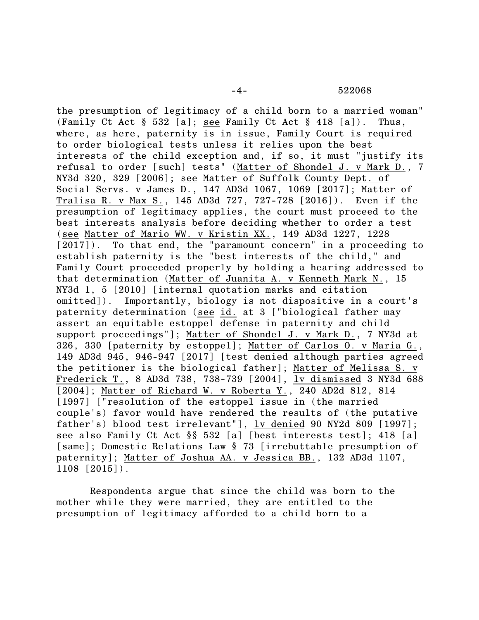the presumption of legitimacy of a child born to a married woman" (Family Ct Act § 532 [a]; see Family Ct Act § 418 [a]). Thus, where, as here, paternity is in issue, Family Court is required to order biological tests unless it relies upon the best interests of the child exception and, if so, it must "justify its refusal to order [such] tests" (Matter of Shondel J. v Mark D., 7 NY3d 320, 329 [2006]; see Matter of Suffolk County Dept. of Social Servs. v James D., 147 AD3d 1067, 1069 [2017]; Matter of Tralisa R. v Max S., 145 AD3d 727, 727-728 [2016]). Even if the presumption of legitimacy applies, the court must proceed to the best interests analysis before deciding whether to order a test (see Matter of Mario WW. v Kristin XX., 149 AD3d 1227, 1228 [2017]). To that end, the "paramount concern" in a proceeding to establish paternity is the "best interests of the child," and Family Court proceeded properly by holding a hearing addressed to that determination (Matter of Juanita A. v Kenneth Mark N., 15 NY3d 1, 5 [2010] [internal quotation marks and citation omitted]). Importantly, biology is not dispositive in a court's paternity determination (see id. at 3 ["biological father may assert an equitable estoppel defense in paternity and child support proceedings"]; Matter of Shondel J. v Mark D., 7 NY3d at 326, 330 [paternity by estoppel]; Matter of Carlos O. v Maria G., 149 AD3d 945, 946-947 [2017] [test denied although parties agreed the petitioner is the biological father]; Matter of Melissa S. v Frederick T., 8 AD3d 738, 738-739 [2004], lv dismissed 3 NY3d 688 [2004]; Matter of Richard W. v Roberta Y., 240 AD2d 812, 814 [1997] ["resolution of the estoppel issue in (the married couple's) favor would have rendered the results of (the putative father's) blood test irrelevant"], lv denied 90 NY2d 809 [1997]; see also Family Ct Act §§ 532 [a] [best interests test]; 418 [a] [same]; Domestic Relations Law § 73 [irrebuttable presumption of paternity]; Matter of Joshua AA. v Jessica BB., 132 AD3d 1107, 1108 [2015]).

Respondents argue that since the child was born to the mother while they were married, they are entitled to the presumption of legitimacy afforded to a child born to a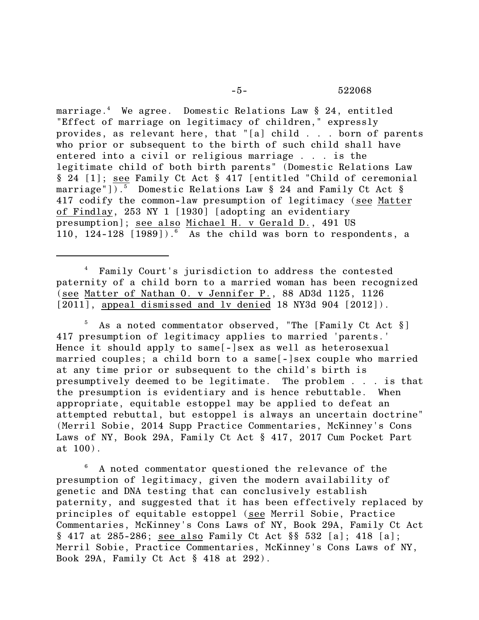marriage.<sup>4</sup> We agree. Domestic Relations Law § 24, entitled "Effect of marriage on legitimacy of children," expressly provides, as relevant here, that "[a] child . . . born of parents who prior or subsequent to the birth of such child shall have entered into a civil or religious marriage . . . is the legitimate child of both birth parents" (Domestic Relations Law § 24 [1]; see Family Ct Act § 417 [entitled "Child of ceremonial marriage"]).<sup>5</sup> Domestic Relations Law  $\S$  24 and Family Ct Act  $\S$ 417 codify the common-law presumption of legitimacy (see Matter of Findlay, 253 NY 1 [1930] [adopting an evidentiary presumption]; see also Michael H. v Gerald D., 491 US 110, 124-128  $[1989]$ ).<sup>6</sup> As the child was born to respondents, a

<sup>4</sup> Family Court's jurisdiction to address the contested paternity of a child born to a married woman has been recognized (see Matter of Nathan O. v Jennifer P., 88 AD3d 1125, 1126 [2011], appeal dismissed and ly denied 18 NY3d 904 [2012]).

As a noted commentator observed, "The [Family Ct Act §] 417 presumption of legitimacy applies to married 'parents.' Hence it should apply to same[-]sex as well as heterosexual married couples; a child born to a same[-]sex couple who married at any time prior or subsequent to the child's birth is presumptively deemed to be legitimate. The problem . . . is that the presumption is evidentiary and is hence rebuttable. When appropriate, equitable estoppel may be applied to defeat an attempted rebuttal, but estoppel is always an uncertain doctrine" (Merril Sobie, 2014 Supp Practice Commentaries, McKinney's Cons Laws of NY, Book 29A, Family Ct Act § 417, 2017 Cum Pocket Part at 100).

<sup>6</sup> A noted commentator questioned the relevance of the presumption of legitimacy, given the modern availability of genetic and DNA testing that can conclusively establish paternity, and suggested that it has been effectively replaced by principles of equitable estoppel (see Merril Sobie, Practice Commentaries, McKinney's Cons Laws of NY, Book 29A, Family Ct Act § 417 at 285-286; see also Family Ct Act §§ 532 [a]; 418 [a]; Merril Sobie, Practice Commentaries, McKinney's Cons Laws of NY, Book 29A, Family Ct Act § 418 at 292).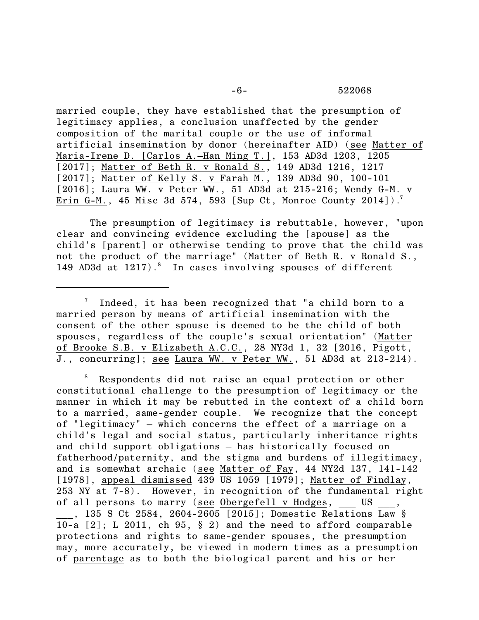## -6- 522068

married couple, they have established that the presumption of legitimacy applies, a conclusion unaffected by the gender composition of the marital couple or the use of informal artificial insemination by donor (hereinafter AID) (see Matter of Maria-Irene D. [Carlos A.–Han Ming T.], 153 AD3d 1203, 1205 [2017]; Matter of Beth R. v Ronald S., 149 AD3d 1216, 1217 [2017]; Matter of Kelly S. v Farah M., 139 AD3d 90, 100-101 [2016]; Laura WW. v Peter WW., 51 AD3d at 215-216; Wendy G-M. v Erin G-M., 45 Misc 3d 574, 593 [Sup Ct, Monroe County 2014]).<sup>7</sup>

The presumption of legitimacy is rebuttable, however, "upon clear and convincing evidence excluding the [spouse] as the child's [parent] or otherwise tending to prove that the child was not the product of the marriage" (Matter of Beth R. v Ronald S., 149 AD3d at  $1217$ ).<sup>8</sup> In cases involving spouses of different

 $\frac{7}{1}$  Indeed, it has been recognized that "a child born to a married person by means of artificial insemination with the consent of the other spouse is deemed to be the child of both spouses, regardless of the couple's sexual orientation" (Matter of Brooke S.B. v Elizabeth A.C.C., 28 NY3d 1, 32 [2016, Pigott, J., concurring]; see Laura WW. v Peter WW., 51 AD3d at 213-214).

Respondents did not raise an equal protection or other constitutional challenge to the presumption of legitimacy or the manner in which it may be rebutted in the context of a child born to a married, same-gender couple. We recognize that the concept of "legitimacy" – which concerns the effect of a marriage on a child's legal and social status, particularly inheritance rights and child support obligations – has historically focused on fatherhood/paternity, and the stigma and burdens of illegitimacy, and is somewhat archaic (see Matter of Fay, 44 NY2d 137, 141-142 [1978], appeal dismissed 439 US 1059 [1979]; Matter of Findlay, 253 NY at 7-8). However, in recognition of the fundamental right of all persons to marry (see Obergefell v Hodges, US \_\_\_, 135 S Ct 2584, 2604-2605 [2015]; Domestic Relations Law § 10-a [2]; L 2011, ch 95, § 2) and the need to afford comparable protections and rights to same-gender spouses, the presumption may, more accurately, be viewed in modern times as a presumption

of parentage as to both the biological parent and his or her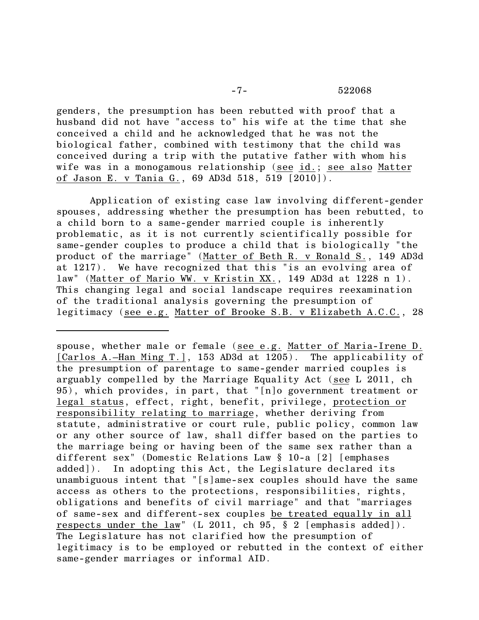genders, the presumption has been rebutted with proof that a husband did not have "access to" his wife at the time that she conceived a child and he acknowledged that he was not the biological father, combined with testimony that the child was conceived during a trip with the putative father with whom his wife was in a monogamous relationship (see id.; see also Matter of Jason E. v Tania G., 69 AD3d 518, 519 [2010]).

Application of existing case law involving different-gender spouses, addressing whether the presumption has been rebutted, to a child born to a same-gender married couple is inherently problematic, as it is not currently scientifically possible for same-gender couples to produce a child that is biologically "the product of the marriage" (Matter of Beth R. v Ronald S., 149 AD3d at 1217). We have recognized that this "is an evolving area of law" (Matter of Mario WW. v Kristin XX., 149 AD3d at 1228 n 1). This changing legal and social landscape requires reexamination of the traditional analysis governing the presumption of legitimacy (see e.g. Matter of Brooke S.B. v Elizabeth A.C.C., 28

spouse, whether male or female (see e.g. Matter of Maria-Irene D. [Carlos A.–Han Ming T.], 153 AD3d at 1205). The applicability of the presumption of parentage to same-gender married couples is arguably compelled by the Marriage Equality Act (see L 2011, ch 95), which provides, in part, that "[n]o government treatment or legal status, effect, right, benefit, privilege, protection or responsibility relating to marriage, whether deriving from statute, administrative or court rule, public policy, common law or any other source of law, shall differ based on the parties to the marriage being or having been of the same sex rather than a different sex" (Domestic Relations Law § 10-a [2] [emphases added]). In adopting this Act, the Legislature declared its unambiguous intent that "[s]ame-sex couples should have the same access as others to the protections, responsibilities, rights, obligations and benefits of civil marriage" and that "marriages of same-sex and different-sex couples be treated equally in all respects under the law" (L 2011, ch 95, § 2 [emphasis added]). The Legislature has not clarified how the presumption of legitimacy is to be employed or rebutted in the context of either same-gender marriages or informal AID.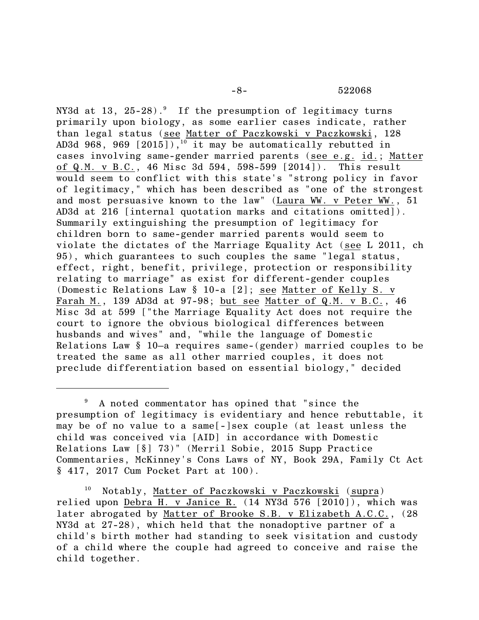-8- 522068

NY3d at 13,  $25-28$ .<sup>9</sup> If the presumption of legitimacy turns primarily upon biology, as some earlier cases indicate, rather than legal status (see Matter of Paczkowski v Paczkowski, 128 AD3d 968, 969  $\lceil 2015 \rceil$ ,  $\frac{10}{10}$  it may be automatically rebutted in cases involving same-gender married parents (see e.g. id.; Matter of Q.M. v B.C., 46 Misc 3d 594, 598-599 [2014]). This result would seem to conflict with this state's "strong policy in favor of legitimacy," which has been described as "one of the strongest and most persuasive known to the law" (Laura WW. v Peter WW., 51 AD3d at 216 [internal quotation marks and citations omitted]). Summarily extinguishing the presumption of legitimacy for children born to same-gender married parents would seem to violate the dictates of the Marriage Equality Act (see L 2011, ch 95), which guarantees to such couples the same "legal status, effect, right, benefit, privilege, protection or responsibility relating to marriage" as exist for different-gender couples (Domestic Relations Law § 10-a [2]; see Matter of Kelly S. v Farah M., 139 AD3d at 97-98; but see Matter of Q.M. v B.C., 46 Misc 3d at 599 ["the Marriage Equality Act does not require the court to ignore the obvious biological differences between husbands and wives" and, "while the language of Domestic Relations Law § 10–a requires same-(gender) married couples to be treated the same as all other married couples, it does not preclude differentiation based on essential biology," decided

<sup>9</sup> A noted commentator has opined that "since the presumption of legitimacy is evidentiary and hence rebuttable, it may be of no value to a same[-]sex couple (at least unless the child was conceived via [AID] in accordance with Domestic Relations Law [§] 73)" (Merril Sobie, 2015 Supp Practice Commentaries, McKinney's Cons Laws of NY, Book 29A, Family Ct Act § 417, 2017 Cum Pocket Part at 100).

<sup>10</sup> Notably, Matter of Paczkowski v Paczkowski (supra) relied upon Debra H. v Janice R. (14 NY3d 576 [2010]), which was later abrogated by Matter of Brooke S.B. v Elizabeth A.C.C., (28 NY3d at 27-28), which held that the nonadoptive partner of a child's birth mother had standing to seek visitation and custody of a child where the couple had agreed to conceive and raise the child together.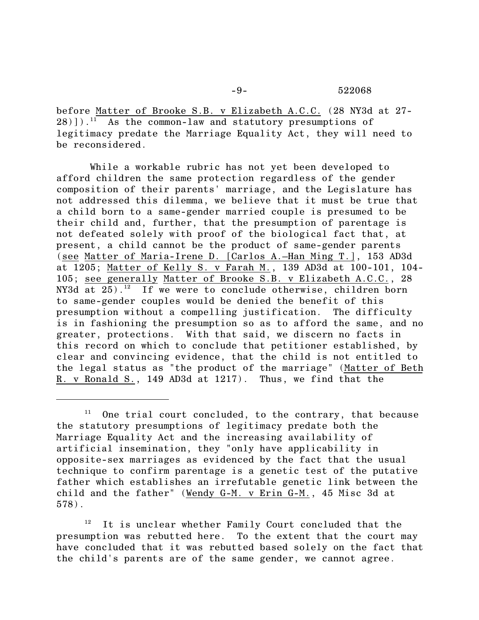before Matter of Brooke S.B. v Elizabeth A.C.C. (28 NY3d at 27-  $28$ )]).<sup>11</sup> As the common-law and statutory presumptions of legitimacy predate the Marriage Equality Act, they will need to be reconsidered.

While a workable rubric has not yet been developed to afford children the same protection regardless of the gender composition of their parents' marriage, and the Legislature has not addressed this dilemma, we believe that it must be true that a child born to a same-gender married couple is presumed to be their child and, further, that the presumption of parentage is not defeated solely with proof of the biological fact that, at present, a child cannot be the product of same-gender parents (see Matter of Maria-Irene D. [Carlos A.–Han Ming T.], 153 AD3d at 1205; Matter of Kelly S. v Farah M., 139 AD3d at 100-101, 104- 105; see generally Matter of Brooke S.B. v Elizabeth A.C.C., 28 NY3d at  $25)$ .<sup>12</sup> If we were to conclude otherwise, children born to same-gender couples would be denied the benefit of this presumption without a compelling justification. The difficulty is in fashioning the presumption so as to afford the same, and no greater, protections. With that said, we discern no facts in this record on which to conclude that petitioner established, by clear and convincing evidence, that the child is not entitled to the legal status as "the product of the marriage" (Matter of Beth R. v Ronald S., 149 AD3d at 1217). Thus, we find that the

 $12$  It is unclear whether Family Court concluded that the presumption was rebutted here. To the extent that the court may have concluded that it was rebutted based solely on the fact that the child's parents are of the same gender, we cannot agree.

 $11$  One trial court concluded, to the contrary, that because the statutory presumptions of legitimacy predate both the Marriage Equality Act and the increasing availability of artificial insemination, they "only have applicability in opposite-sex marriages as evidenced by the fact that the usual technique to confirm parentage is a genetic test of the putative father which establishes an irrefutable genetic link between the child and the father" (Wendy G-M. v Erin G-M., 45 Misc 3d at 578).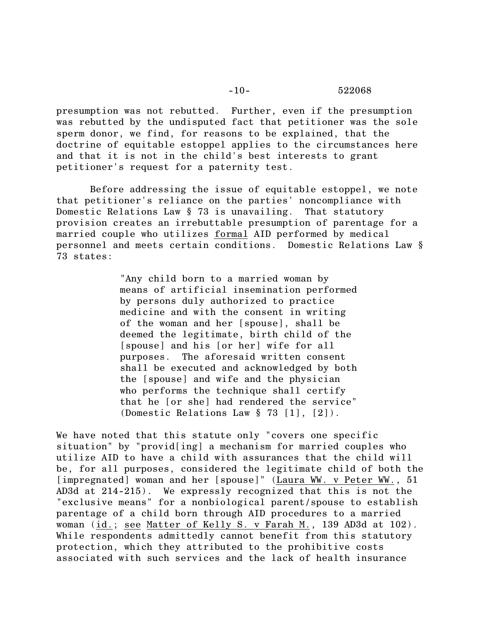presumption was not rebutted. Further, even if the presumption was rebutted by the undisputed fact that petitioner was the sole sperm donor, we find, for reasons to be explained, that the doctrine of equitable estoppel applies to the circumstances here and that it is not in the child's best interests to grant petitioner's request for a paternity test.

Before addressing the issue of equitable estoppel, we note that petitioner's reliance on the parties' noncompliance with Domestic Relations Law § 73 is unavailing. That statutory provision creates an irrebuttable presumption of parentage for a married couple who utilizes formal AID performed by medical personnel and meets certain conditions. Domestic Relations Law § 73 states:

> "Any child born to a married woman by means of artificial insemination performed by persons duly authorized to practice medicine and with the consent in writing of the woman and her [spouse], shall be deemed the legitimate, birth child of the [spouse] and his [or her] wife for all purposes. The aforesaid written consent shall be executed and acknowledged by both the [spouse] and wife and the physician who performs the technique shall certify that he [or she] had rendered the service" (Domestic Relations Law § 73 [1], [2]).

We have noted that this statute only "covers one specific situation" by "provid[ing] a mechanism for married couples who utilize AID to have a child with assurances that the child will be, for all purposes, considered the legitimate child of both the [impregnated] woman and her [spouse]" (Laura WW. v Peter WW., 51 AD3d at 214-215). We expressly recognized that this is not the "exclusive means" for a nonbiological parent/spouse to establish parentage of a child born through AID procedures to a married woman (id.; see Matter of Kelly S. v Farah M., 139 AD3d at 102). While respondents admittedly cannot benefit from this statutory protection, which they attributed to the prohibitive costs associated with such services and the lack of health insurance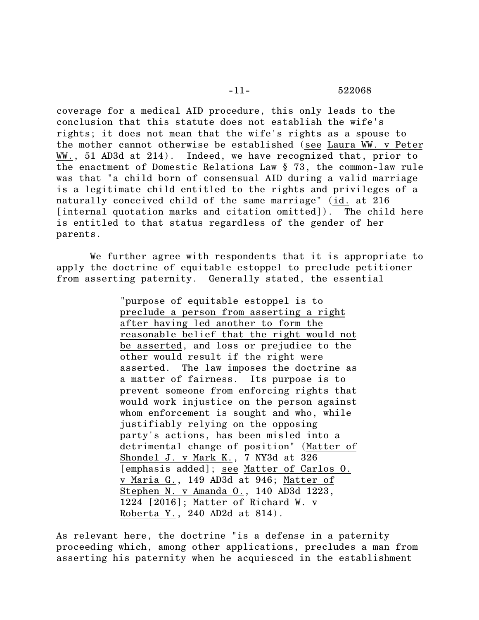coverage for a medical AID procedure, this only leads to the conclusion that this statute does not establish the wife's rights; it does not mean that the wife's rights as a spouse to the mother cannot otherwise be established (see Laura WW. v Peter WW., 51 AD3d at 214). Indeed, we have recognized that, prior to the enactment of Domestic Relations Law § 73, the common-law rule was that "a child born of consensual AID during a valid marriage is a legitimate child entitled to the rights and privileges of a naturally conceived child of the same marriage" (id. at 216 [internal quotation marks and citation omitted]). The child here is entitled to that status regardless of the gender of her parents.

We further agree with respondents that it is appropriate to apply the doctrine of equitable estoppel to preclude petitioner from asserting paternity. Generally stated, the essential

> "purpose of equitable estoppel is to preclude a person from asserting a right after having led another to form the reasonable belief that the right would not be asserted, and loss or prejudice to the other would result if the right were asserted. The law imposes the doctrine as a matter of fairness. Its purpose is to prevent someone from enforcing rights that would work injustice on the person against whom enforcement is sought and who, while justifiably relying on the opposing party's actions, has been misled into a detrimental change of position" (Matter of Shondel J. v Mark K., 7 NY3d at 326 [emphasis added]; see Matter of Carlos O. v Maria G., 149 AD3d at 946; Matter of Stephen N. v Amanda O., 140 AD3d 1223, 1224 [2016]; Matter of Richard W. v Roberta Y., 240 AD2d at 814).

As relevant here, the doctrine "is a defense in a paternity proceeding which, among other applications, precludes a man from asserting his paternity when he acquiesced in the establishment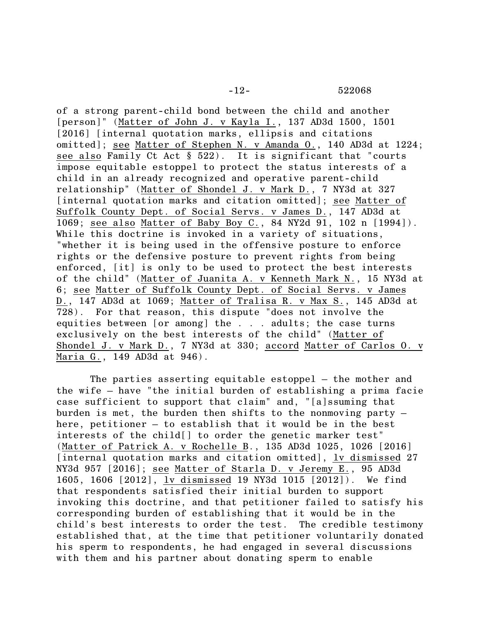-12- 522068

of a strong parent-child bond between the child and another [person]" (Matter of John J. v Kayla I., 137 AD3d 1500, 1501 [2016] [internal quotation marks, ellipsis and citations omitted]; see Matter of Stephen N. v Amanda O., 140 AD3d at 1224; see also Family Ct Act § 522). It is significant that "courts impose equitable estoppel to protect the status interests of a child in an already recognized and operative parent-child relationship" (Matter of Shondel J. v Mark D., 7 NY3d at 327 [internal quotation marks and citation omitted]; see Matter of Suffolk County Dept. of Social Servs. v James D., 147 AD3d at 1069; see also Matter of Baby Boy C., 84 NY2d 91, 102 n [1994]). While this doctrine is invoked in a variety of situations, "whether it is being used in the offensive posture to enforce rights or the defensive posture to prevent rights from being enforced, [it] is only to be used to protect the best interests of the child" (Matter of Juanita A. v Kenneth Mark N., 15 NY3d at 6; see Matter of Suffolk County Dept. of Social Servs. v James D., 147 AD3d at 1069; Matter of Tralisa R. v Max S., 145 AD3d at 728). For that reason, this dispute "does not involve the equities between [or among] the . . . adults; the case turns exclusively on the best interests of the child" (Matter of Shondel J. v Mark D., 7 NY3d at 330; accord Matter of Carlos O. v Maria G., 149 AD3d at 946).

The parties asserting equitable estoppel – the mother and the wife – have "the initial burden of establishing a prima facie case sufficient to support that claim" and, "[a]ssuming that burden is met, the burden then shifts to the nonmoving party – here, petitioner – to establish that it would be in the best interests of the child[] to order the genetic marker test" (Matter of Patrick A. v Rochelle B., 135 AD3d 1025, 1026 [2016] [internal quotation marks and citation omitted], lv dismissed 27 NY3d 957 [2016]; see Matter of Starla D. v Jeremy E., 95 AD3d 1605, 1606 [2012], lv dismissed 19 NY3d 1015 [2012]). We find that respondents satisfied their initial burden to support invoking this doctrine, and that petitioner failed to satisfy his corresponding burden of establishing that it would be in the child's best interests to order the test. The credible testimony established that, at the time that petitioner voluntarily donated his sperm to respondents, he had engaged in several discussions with them and his partner about donating sperm to enable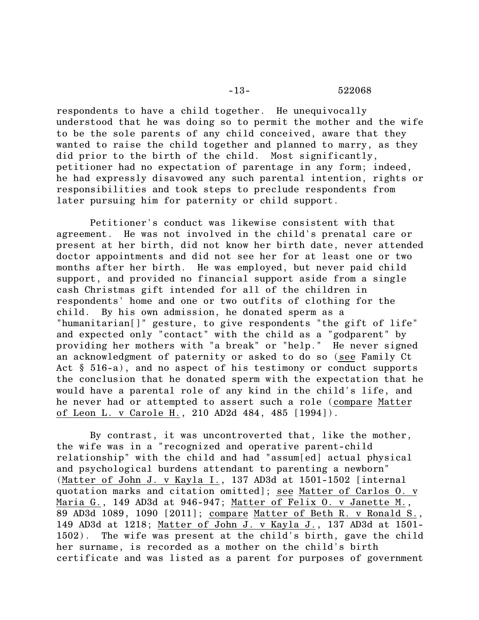respondents to have a child together. He unequivocally understood that he was doing so to permit the mother and the wife to be the sole parents of any child conceived, aware that they wanted to raise the child together and planned to marry, as they did prior to the birth of the child. Most significantly, petitioner had no expectation of parentage in any form; indeed, he had expressly disavowed any such parental intention, rights or responsibilities and took steps to preclude respondents from later pursuing him for paternity or child support.

Petitioner's conduct was likewise consistent with that agreement. He was not involved in the child's prenatal care or present at her birth, did not know her birth date, never attended doctor appointments and did not see her for at least one or two months after her birth. He was employed, but never paid child support, and provided no financial support aside from a single cash Christmas gift intended for all of the children in respondents' home and one or two outfits of clothing for the child. By his own admission, he donated sperm as a "humanitarian[]" gesture, to give respondents "the gift of life" and expected only "contact" with the child as a "godparent" by providing her mothers with "a break" or "help." He never signed an acknowledgment of paternity or asked to do so (see Family Ct Act § 516-a), and no aspect of his testimony or conduct supports the conclusion that he donated sperm with the expectation that he would have a parental role of any kind in the child's life, and he never had or attempted to assert such a role (compare Matter of Leon L. v Carole H., 210 AD2d 484, 485 [1994]).

By contrast, it was uncontroverted that, like the mother, the wife was in a "recognized and operative parent-child relationship" with the child and had "assum[ed] actual physical and psychological burdens attendant to parenting a newborn" (Matter of John J. v Kayla I., 137 AD3d at 1501-1502 [internal quotation marks and citation omitted]; see Matter of Carlos O. v Maria G., 149 AD3d at 946-947; Matter of Felix O. v Janette M., 89 AD3d 1089, 1090 [2011]; compare Matter of Beth R. v Ronald S., 149 AD3d at 1218; Matter of John J. v Kayla J., 137 AD3d at 1501- 1502). The wife was present at the child's birth, gave the child her surname, is recorded as a mother on the child's birth certificate and was listed as a parent for purposes of government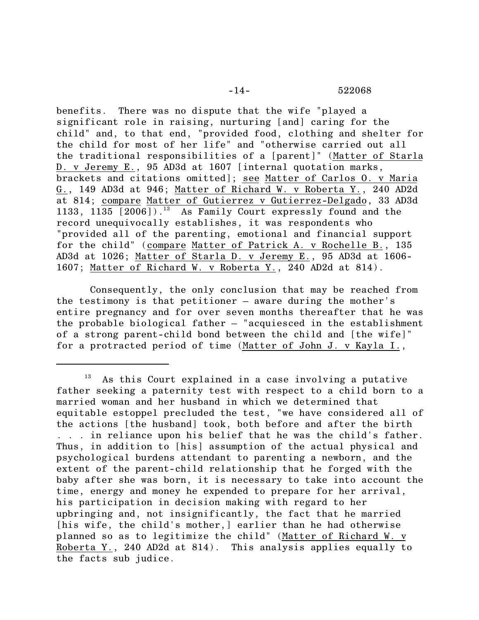benefits. There was no dispute that the wife "played a significant role in raising, nurturing [and] caring for the child" and, to that end, "provided food, clothing and shelter for the child for most of her life" and "otherwise carried out all the traditional responsibilities of a [parent]" (Matter of Starla D. v Jeremy E., 95 AD3d at 1607 [internal quotation marks, brackets and citations omitted]; see Matter of Carlos O. v Maria G., 149 AD3d at 946; Matter of Richard W. v Roberta Y., 240 AD2d at 814; compare Matter of Gutierrez v Gutierrez-Delgado, 33 AD3d 1133, 1135  $[2006]$ ).<sup>13</sup> As Family Court expressly found and the record unequivocally establishes, it was respondents who "provided all of the parenting, emotional and financial support for the child" (compare Matter of Patrick A. v Rochelle B., 135 AD3d at 1026; Matter of Starla D. v Jeremy E., 95 AD3d at 1606- 1607; Matter of Richard W. v Roberta Y., 240 AD2d at 814).

Consequently, the only conclusion that may be reached from the testimony is that petitioner – aware during the mother's entire pregnancy and for over seven months thereafter that he was the probable biological father – "acquiesced in the establishment of a strong parent-child bond between the child and [the wife]" for a protracted period of time (Matter of John J. v Kayla I.,

 $13$  As this Court explained in a case involving a putative father seeking a paternity test with respect to a child born to a married woman and her husband in which we determined that equitable estoppel precluded the test, "we have considered all of the actions [the husband] took, both before and after the birth . . . in reliance upon his belief that he was the child's father. Thus, in addition to [his] assumption of the actual physical and psychological burdens attendant to parenting a newborn, and the extent of the parent-child relationship that he forged with the baby after she was born, it is necessary to take into account the time, energy and money he expended to prepare for her arrival, his participation in decision making with regard to her upbringing and, not insignificantly, the fact that he married [his wife, the child's mother,] earlier than he had otherwise planned so as to legitimize the child" (Matter of Richard W. v Roberta Y., 240 AD2d at 814). This analysis applies equally to the facts sub judice.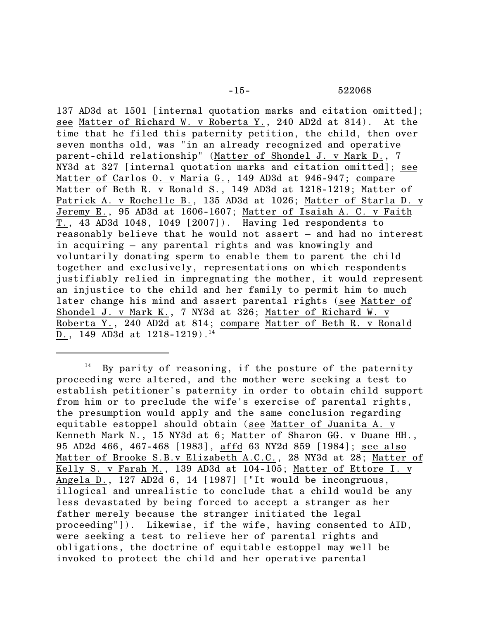137 AD3d at 1501 [internal quotation marks and citation omitted]; see Matter of Richard W. v Roberta Y., 240 AD2d at 814). At the time that he filed this paternity petition, the child, then over seven months old, was "in an already recognized and operative parent-child relationship" (Matter of Shondel J. v Mark D., 7 NY3d at 327 [internal quotation marks and citation omitted]; see Matter of Carlos O. v Maria G., 149 AD3d at 946-947; compare Matter of Beth R. v Ronald S., 149 AD3d at 1218-1219; Matter of Patrick A. v Rochelle B., 135 AD3d at 1026; Matter of Starla D. v Jeremy E., 95 AD3d at 1606-1607; Matter of Isaiah A. C. v Faith T., 43 AD3d 1048, 1049 [2007]). Having led respondents to reasonably believe that he would not assert – and had no interest in acquiring – any parental rights and was knowingly and voluntarily donating sperm to enable them to parent the child together and exclusively, representations on which respondents justifiably relied in impregnating the mother, it would represent an injustice to the child and her family to permit him to much later change his mind and assert parental rights (see Matter of Shondel J. v Mark K., 7 NY3d at 326; Matter of Richard W. v Roberta Y., 240 AD2d at 814; compare Matter of Beth R. v Ronald D., 149 AD3d at  $1218-1219$ .<sup>14</sup>

 $14$  By parity of reasoning, if the posture of the paternity proceeding were altered, and the mother were seeking a test to establish petitioner's paternity in order to obtain child support from him or to preclude the wife's exercise of parental rights, the presumption would apply and the same conclusion regarding equitable estoppel should obtain (see Matter of Juanita A. v Kenneth Mark N., 15 NY3d at 6; Matter of Sharon GG. v Duane HH., 95 AD2d 466, 467-468 [1983], affd 63 NY2d 859 [1984]; see also Matter of Brooke S.B.v Elizabeth A.C.C., 28 NY3d at 28; Matter of Kelly S. v Farah M., 139 AD3d at 104-105; Matter of Ettore I. v Angela D., 127 AD2d 6, 14 [1987] ["It would be incongruous, illogical and unrealistic to conclude that a child would be any less devastated by being forced to accept a stranger as her father merely because the stranger initiated the legal proceeding"]). Likewise, if the wife, having consented to AID, were seeking a test to relieve her of parental rights and obligations, the doctrine of equitable estoppel may well be invoked to protect the child and her operative parental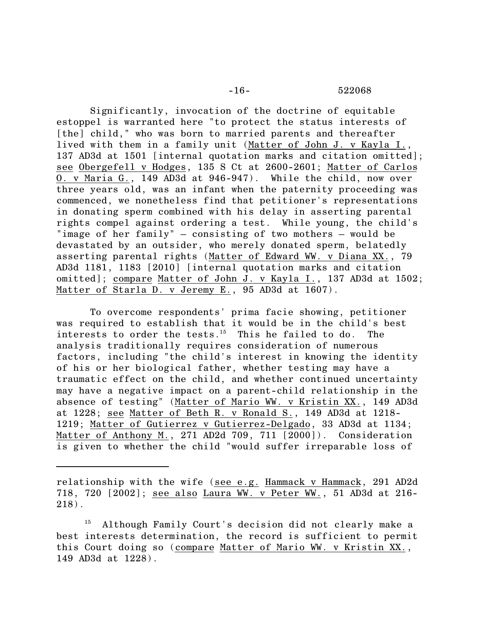Significantly, invocation of the doctrine of equitable estoppel is warranted here "to protect the status interests of [the] child," who was born to married parents and thereafter lived with them in a family unit (Matter of John J. v Kayla I., 137 AD3d at 1501 [internal quotation marks and citation omitted]; see Obergefell v Hodges, 135 S Ct at 2600-2601; Matter of Carlos O. v Maria G., 149 AD3d at 946-947). While the child, now over three years old, was an infant when the paternity proceeding was commenced, we nonetheless find that petitioner's representations in donating sperm combined with his delay in asserting parental rights compel against ordering a test. While young, the child's "image of her family" – consisting of two mothers – would be devastated by an outsider, who merely donated sperm, belatedly asserting parental rights (Matter of Edward WW. v Diana XX., 79 AD3d 1181, 1183 [2010] [internal quotation marks and citation omitted]; compare Matter of John J. v Kayla I., 137 AD3d at 1502; Matter of Starla D. v Jeremy E., 95 AD3d at 1607).

To overcome respondents' prima facie showing, petitioner was required to establish that it would be in the child's best interests to order the tests.<sup>15</sup> This he failed to do. The analysis traditionally requires consideration of numerous factors, including "the child's interest in knowing the identity of his or her biological father, whether testing may have a traumatic effect on the child, and whether continued uncertainty may have a negative impact on a parent-child relationship in the absence of testing" (Matter of Mario WW. v Kristin XX., 149 AD3d at 1228; see Matter of Beth R. v Ronald S., 149 AD3d at 1218- 1219; Matter of Gutierrez v Gutierrez-Delgado, 33 AD3d at 1134; Matter of Anthony M., 271 AD2d 709, 711 [2000]). Consideration is given to whether the child "would suffer irreparable loss of

relationship with the wife (see e.g. Hammack v Hammack, 291 AD2d 718, 720 [2002]; see also Laura WW. v Peter WW., 51 AD3d at 216- 218).

<sup>15</sup> Although Family Court's decision did not clearly make a best interests determination, the record is sufficient to permit this Court doing so (compare Matter of Mario WW. v Kristin XX., 149 AD3d at 1228).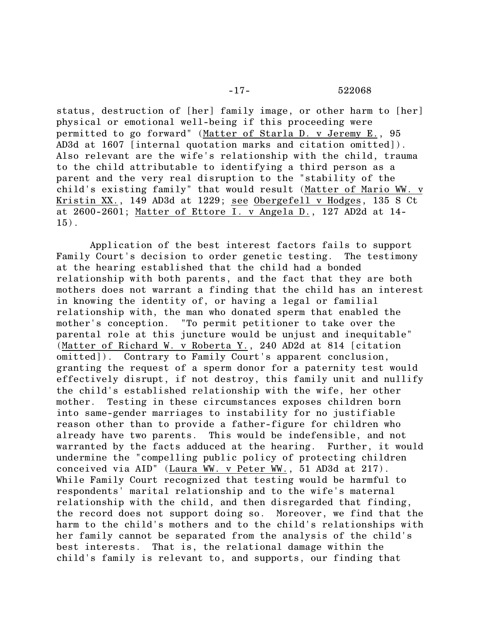status, destruction of [her] family image, or other harm to [her] physical or emotional well-being if this proceeding were permitted to go forward" (Matter of Starla D. v Jeremy E., 95 AD3d at 1607 [internal quotation marks and citation omitted]). Also relevant are the wife's relationship with the child, trauma to the child attributable to identifying a third person as a parent and the very real disruption to the "stability of the child's existing family" that would result (Matter of Mario WW. v Kristin XX., 149 AD3d at 1229; see Obergefell v Hodges, 135 S Ct at 2600-2601; Matter of Ettore I. v Angela D., 127 AD2d at 14- 15).

Application of the best interest factors fails to support Family Court's decision to order genetic testing. The testimony at the hearing established that the child had a bonded relationship with both parents, and the fact that they are both mothers does not warrant a finding that the child has an interest in knowing the identity of, or having a legal or familial relationship with, the man who donated sperm that enabled the mother's conception. "To permit petitioner to take over the parental role at this juncture would be unjust and inequitable" (Matter of Richard W. v Roberta Y., 240 AD2d at 814 [citation omitted]). Contrary to Family Court's apparent conclusion, granting the request of a sperm donor for a paternity test would effectively disrupt, if not destroy, this family unit and nullify the child's established relationship with the wife, her other mother. Testing in these circumstances exposes children born into same-gender marriages to instability for no justifiable reason other than to provide a father-figure for children who already have two parents. This would be indefensible, and not warranted by the facts adduced at the hearing. Further, it would undermine the "compelling public policy of protecting children conceived via AID" (Laura WW. v Peter WW., 51 AD3d at 217). While Family Court recognized that testing would be harmful to respondents' marital relationship and to the wife's maternal relationship with the child, and then disregarded that finding, the record does not support doing so. Moreover, we find that the harm to the child's mothers and to the child's relationships with her family cannot be separated from the analysis of the child's best interests. That is, the relational damage within the child's family is relevant to, and supports, our finding that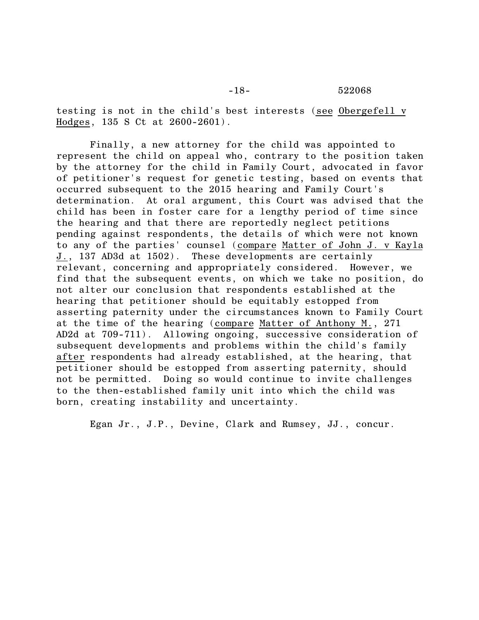testing is not in the child's best interests (see Obergefell v Hodges, 135 S Ct at 2600-2601).

Finally, a new attorney for the child was appointed to represent the child on appeal who, contrary to the position taken by the attorney for the child in Family Court, advocated in favor of petitioner's request for genetic testing, based on events that occurred subsequent to the 2015 hearing and Family Court's determination. At oral argument, this Court was advised that the child has been in foster care for a lengthy period of time since the hearing and that there are reportedly neglect petitions pending against respondents, the details of which were not known to any of the parties' counsel (compare Matter of John J. v Kayla J., 137 AD3d at 1502). These developments are certainly relevant, concerning and appropriately considered. However, we find that the subsequent events, on which we take no position, do not alter our conclusion that respondents established at the hearing that petitioner should be equitably estopped from asserting paternity under the circumstances known to Family Court at the time of the hearing (compare Matter of Anthony M., 271 AD2d at 709-711). Allowing ongoing, successive consideration of subsequent developments and problems within the child's family after respondents had already established, at the hearing, that petitioner should be estopped from asserting paternity, should not be permitted. Doing so would continue to invite challenges to the then-established family unit into which the child was born, creating instability and uncertainty.

Egan Jr., J.P., Devine, Clark and Rumsey, JJ., concur.